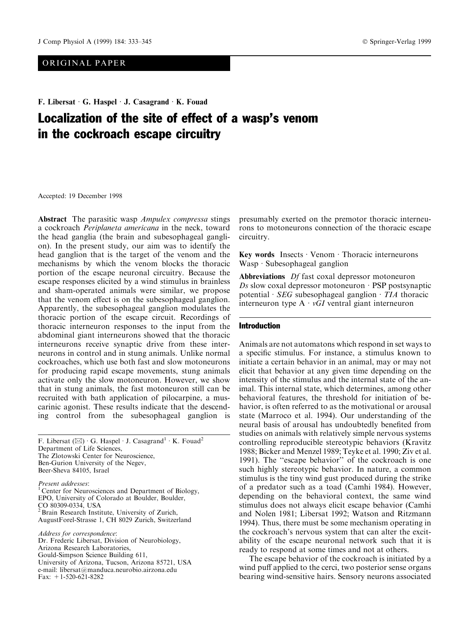# ORIGINAL PAPER

F. Libersat G. Haspel J. Casagrand K. Fouad

# Localization of the site of effect of a wasp's venom in the cockroach escape circuitry

Accepted: 19 December 1998

Abstract The parasitic wasp *Ampulex compressa* stings a cockroach Periplaneta americana in the neck, toward the head ganglia (the brain and subesophageal ganglion). In the present study, our aim was to identify the head ganglion that is the target of the venom and the mechanisms by which the venom blocks the thoracic portion of the escape neuronal circuitry. Because the escape responses elicited by a wind stimulus in brainless and sham-operated animals were similar, we propose that the venom effect is on the subesophageal ganglion. Apparently, the subesophageal ganglion modulates the thoracic portion of the escape circuit. Recordings of thoracic interneuron responses to the input from the abdominal giant interneurons showed that the thoracic interneurons receive synaptic drive from these interneurons in control and in stung animals. Unlike normal cockroaches, which use both fast and slow motoneurons for producing rapid escape movements, stung animals activate only the slow motoneuron. However, we show that in stung animals, the fast motoneuron still can be recruited with bath application of pilocarpine, a muscarinic agonist. These results indicate that the descending control from the subesophageal ganglion is

F. Libersat ( $\boxtimes$ ) · G. Haspel · J. Casagrand<sup>1</sup> · K. Fouad<sup>2</sup> Department of Life Sciences, The Zlotowski Center for Neuroscience, Ben-Gurion University of the Negev, Beer-Sheva 84105, Israel

Present addresses:<br><sup>1</sup> Center for Neurosciences and Department of Biology, EPO, University of Colorado at Boulder, Boulder, CO 80309-0334, USA 2Brain Research Institute, University of Zurich, AugustForel-Strasse 1, CH 8029 Zurich, Switzerland

Address for correspondence: Dr. Frederic Libersat, Division of Neurobiology, Arizona Research Laboratories, Gould-Simpson Science Building 611, University of Arizona, Tucson, Arizona 85721, USA e-mail: libersat@manduca.neurobio.airzona.edu Fax: +1-520-621-8282

presumably exerted on the premotor thoracic interneurons to motoneurons connection of the thoracic escape circuitry.

Key words Insects  $\cdot$  Venom  $\cdot$  Thoracic interneurons  $Wasp \cdot Subesophagedal ganglion$ 

Abbreviations Df fast coxal depressor motoneuron  $Ds$  slow coxal depressor motoneuron  $\cdot$  PSP postsynaptic potential  $\cdot$  SEG subesophageal ganglion  $\cdot$  TIA thoracic interneuron type  $A \cdot vGI$  ventral giant interneuron

## Introduction

Animals are not automatons which respond in set ways to a specific stimulus. For instance, a stimulus known to initiate a certain behavior in an animal, may or may not elicit that behavior at any given time depending on the intensity of the stimulus and the internal state of the animal. This internal state, which determines, among other behavioral features, the threshold for initiation of behavior, is often referred to as the motivational or arousal state (Marroco et al. 1994). Our understanding of the neural basis of arousal has undoubtedly benefited from studies on animals with relatively simple nervous systems controlling reproducible stereotypic behaviors (Kravitz 1988; Bicker and Menzel 1989; Teyke et al. 1990; Ziv et al. 1991). The "escape behavior" of the cockroach is one such highly stereotypic behavior. In nature, a common stimulus is the tiny wind gust produced during the strike of a predator such as a toad (Camhi 1984). However, depending on the behavioral context, the same wind stimulus does not always elicit escape behavior (Camhi and Nolen 1981; Libersat 1992; Watson and Ritzmann 1994). Thus, there must be some mechanism operating in the cockroach's nervous system that can alter the excitability of the escape neuronal network such that it is ready to respond at some times and not at others.

The escape behavior of the cockroach is initiated by a wind puff applied to the cerci, two posterior sense organs bearing wind-sensitive hairs. Sensory neurons associated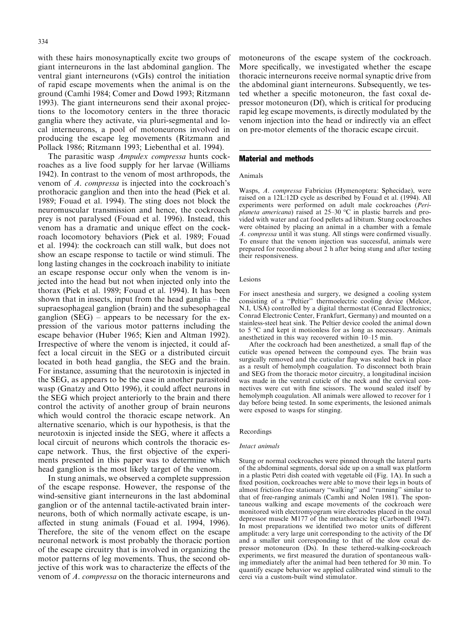with these hairs monosynaptically excite two groups of giant interneurons in the last abdominal ganglion. The ventral giant interneurons (vGIs) control the initiation of rapid escape movements when the animal is on the ground (Camhi 1984; Comer and Dowd 1993; Ritzmann 1993). The giant interneurons send their axonal projections to the locomotory centers in the three thoracic ganglia where they activate, via pluri-segmental and local interneurons, a pool of motoneurons involved in producing the escape leg movements (Ritzmann and Pollack 1986; Ritzmann 1993; Liebenthal et al. 1994).

The parasitic wasp Ampulex compressa hunts cockroaches as a live food supply for her larvae (Williams 1942). In contrast to the venom of most arthropods, the venom of A. compressa is injected into the cockroach's prothoracic ganglion and then into the head (Piek et al. 1989; Fouad et al. 1994). The sting does not block the neuromuscular transmission and hence, the cockroach prey is not paralysed (Fouad et al. 1996). Instead, this venom has a dramatic and unique effect on the cockroach locomotory behaviors (Piek et al. 1989; Fouad et al. 1994): the cockroach can still walk, but does not show an escape response to tactile or wind stimuli. The long lasting changes in the cockroach inability to initiate an escape response occur only when the venom is injected into the head but not when injected only into the thorax (Piek et al. 1989; Fouad et al. 1994). It has been shown that in insects, input from the head ganglia  $-$  the supraesophageal ganglion (brain) and the subesophageal ganglion  $(SEG)$  – appears to be necessary for the expression of the various motor patterns including the escape behavior (Huber 1965; Kien and Altman 1992). Irrespective of where the venom is injected, it could affect a local circuit in the SEG or a distributed circuit located in both head ganglia, the SEG and the brain. For instance, assuming that the neurotoxin is injected in the SEG, as appears to be the case in another parasitoid wasp (Gnatzy and Otto 1996), it could affect neurons in the SEG which project anteriorly to the brain and there control the activity of another group of brain neurons which would control the thoracic escape network. An alternative scenario, which is our hypothesis, is that the neurotoxin is injected inside the SEG, where it affects a local circuit of neurons which controls the thoracic escape network. Thus, the first objective of the experiments presented in this paper was to determine which head ganglion is the most likely target of the venom.

In stung animals, we observed a complete suppression of the escape response. However, the response of the wind-sensitive giant interneurons in the last abdominal ganglion or of the antennal tactile-activated brain interneurons, both of which normally activate escape, is unaffected in stung animals (Fouad et al. 1994, 1996). Therefore, the site of the venom effect on the escape neuronal network is most probably the thoracic portion of the escape circuitry that is involved in organizing the motor patterns of leg movements. Thus, the second objective of this work was to characterize the effects of the venom of A. compressa on the thoracic interneurons and motoneurons of the escape system of the cockroach. More specifically, we investigated whether the escape thoracic interneurons receive normal synaptic drive from the abdominal giant interneurons. Subsequently, we tested whether a specific motoneuron, the fast coxal depressor motoneuron (Df), which is critical for producing rapid leg escape movements, is directly modulated by the venom injection into the head or indirectly via an effect on pre-motor elements of the thoracic escape circuit.

## Material and methods

#### Animals

Wasps, A. compressa Fabricius (Hymenoptera: Sphecidae), were raised on a 12L:12D cycle as described by Fouad et al. (1994). All experiments were performed on adult male cockroaches (Periplaneta americana) raised at  $25-30$  °C in plastic barrels and provided with water and cat food pellets ad libitum. Stung cockroaches were obtained by placing an animal in a chamber with a female A. compressa until it was stung. All stings were confirmed visually. To ensure that the venom injection was successful, animals were prepared for recording about 2 h after being stung and after testing their responsiveness.

## Lesions

For insect anesthesia and surgery, we designed a cooling system consisting of a "Peltier" thermoelectric cooling device (Melcor, N.I, USA) controlled by a digital thermostat (Conrad Electronics; Conrad Electronic Center, Frankfurt, Germany) and mounted on a stainless-steel heat sink. The Peltier device cooled the animal down to 5 °C and kept it motionless for as long as necessary. Animals anesthetized in this way recovered within  $10-15$  min.

After the cockroach had been anesthetized, a small flap of the cuticle was opened between the compound eyes. The brain was surgically removed and the cuticular flap was sealed back in place as a result of hemolymph coagulation. To disconnect both brain and SEG from the thoracic motor circuitry, a longitudinal incision was made in the ventral cuticle of the neck and the cervical connectives were cut with fine scissors. The wound sealed itself by hemolymph coagulation. All animals were allowed to recover for 1 day before being tested. In some experiments, the lesioned animals were exposed to wasps for stinging.

## Recordings

#### Intact animals

Stung or normal cockroaches were pinned through the lateral parts of the abdominal segments, dorsal side up on a small wax platform in a plastic Petri dish coated with vegetable oil (Fig. 1A). In such a fixed position, cockroaches were able to move their legs in bouts of almost friction-free stationary "walking" and "running" similar to that of free-ranging animals (Camhi and Nolen 1981). The spontaneous walking and escape movements of the cockroach were monitored with electromyogram wire electrodes placed in the coxal depressor muscle M177 of the metathoracic leg (Carbonell 1947). In most preparations we identified two motor units of different amplitude: a very large unit corresponding to the activity of the Df and a smaller unit corresponding to that of the slow coxal depressor motoneuron (Ds). In these tethered-walking-cockroach experiments, we first measured the duration of spontaneous walking immediately after the animal had been tethered for 30 min. To quantify escape behavior we applied calibrated wind stimuli to the cerci via a custom-built wind stimulator.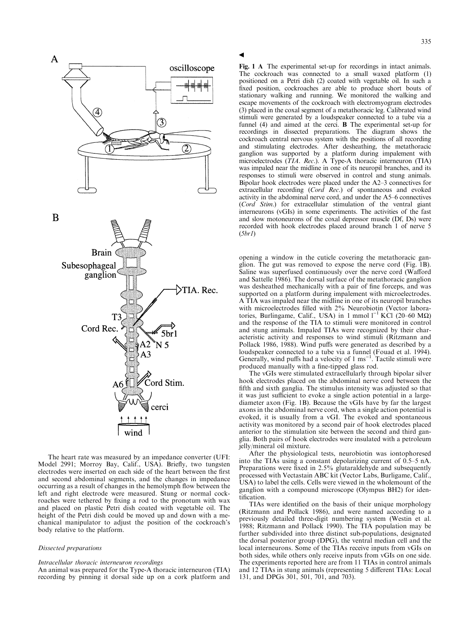

The heart rate was measured by an impedance converter (UFI: Model 2991; Morroy Bay, Calif., USA). Briefly, two tungsten electrodes were inserted on each side of the heart between the first and second abdominal segments, and the changes in impedance occurring as a result of changes in the hemolymph flow between the left and right electrode were measured. Stung or normal cockroaches were tethered by fixing a rod to the pronotum with wax and placed on plastic Petri dish coated with vegetable oil. The height of the Petri dish could be moved up and down with a mechanical manipulator to adjust the position of the cockroach's body relative to the platform.

#### Dissected preparations

#### Intracellular thoracic interneuron recordings

An animal was prepared for the Type-A thoracic interneuron (TIA) recording by pinning it dorsal side up on a cork platform and **a** 

Fig. 1 A The experimental set-up for recordings in intact animals. The cockroach was connected to a small waxed platform (1) positioned on a Petri dish (2) coated with vegetable oil. In such a fixed position, cockroaches are able to produce short bouts of stationary walking and running. We monitored the walking and escape movements of the cockroach with electromyogram electrodes (3) placed in the coxal segment of a metathoracic leg. Calibrated wind stimuli were generated by a loudspeaker connected to a tube via a funnel (4) and aimed at the cerci. B The experimental set-up for recordings in dissected preparations. The diagram shows the cockroach central nervous system with the positions of all recording and stimulating electrodes. After desheathing, the metathoracic ganglion was supported by a platform during impalement with microelectrodes (TIA. Rec.). A Type-A thoracic interneuron (TIA) was impaled near the midline in one of its neuropil branches, and its responses to stimuli were observed in control and stung animals. Bipolar hook electrodes were placed under the  $A2-3$  connectives for extracellular recording  $(Cord$  Rec.) of spontaneous and evoked activity in the abdominal nerve cord, and under the A5-6 connectives (Cord Stim.) for extracellular stimulation of the ventral giant interneurons (vGIs) in some experiments. The activities of the fast and slow motoneurons of the coxal depressor muscle (Df, Ds) were recorded with hook electrodes placed around branch 1 of nerve 5 (5br1)

opening a window in the cuticle covering the metathoracic ganglion. The gut was removed to expose the nerve cord (Fig. 1B). Saline was superfused continuously over the nerve cord (Wafford and Sattelle 1986). The dorsal surface of the metathoracic ganglion was desheathed mechanically with a pair of fine forceps, and was supported on a platform during impalement with microelectrodes. A TIA was impaled near the midline in one of its neuropil branches with microelectrodes filled with 2% Neurobiotin (Vector laboratories, Burlingame, Calif., USA) in 1 mmol  $1^{-1}$  KCl (20–60 M $\Omega$ ) and the response of the TIA to stimuli were monitored in control and stung animals. Impaled TIAs were recognized by their characteristic activity and responses to wind stimuli (Ritzmann and Pollack 1986, 1988). Wind puffs were generated as described by a loudspeaker connected to a tube via a funnel (Fouad et al. 1994).<br>Generally, wind puffs had a velocity of 1 ms<sup>-1</sup>. Tactile stimuli were produced manually with a fine-tipped glass rod.

The vGIs were stimulated extracellularly through bipolar silver hook electrodes placed on the abdominal nerve cord between the fifth and sixth ganglia. The stimulus intensity was adjusted so that it was just sufficient to evoke a single action potential in a largediameter axon (Fig. 1B). Because the vGIs have by far the largest axons in the abdominal nerve cord, when a single action potential is evoked, it is usually from a vGI. The evoked and spontaneous activity was monitored by a second pair of hook electrodes placed anterior to the stimulation site between the second and third ganglia. Both pairs of hook electrodes were insulated with a petroleum jelly/mineral oil mixture.

After the physiological tests, neurobiotin was iontophoresed into the TIAs using a constant depolarizing current of  $0.5-5$  nA. Preparations were fixed in 2.5% glutaraldehyde and subsequently processed with Vectastain ABC kit (Vector Labs, Burligame, Calif., USA) to label the cells. Cells were viewed in the wholemount of the ganglion with a compound microscope (Olympus BH2) for identification.

TIAs were identified on the basis of their unique morphology (Ritzmann and Pollack 1986), and were named according to a previously detailed three-digit numbering system (Westin et al. 1988; Ritzmann and Pollack 1990). The TIA population may be further subdivided into three distinct sub-populations, designated the dorsal posterior group (DPG), the ventral median cell and the local interneurons. Some of the TIAs receive inputs from vGIs on both sides, while others only receive inputs from vGIs on one side. The experiments reported here are from 11 TIAs in control animals and 12 TIAs in stung animals (representing 5 different TIAs: Local 131, and DPGs 301, 501, 701, and 703).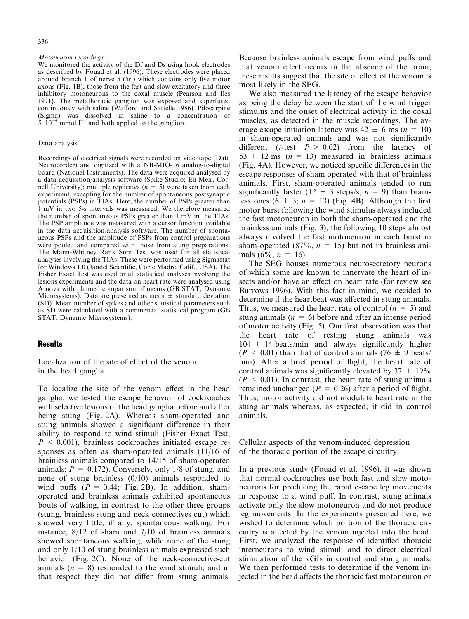#### Motoneuron recordings

We monitored the activity of the Df and Ds using hook electrodes as described by Fouad et al. (1996). These electrodes were placed around branch 1 of nerve 5 (5rl) which contains only five motor axons (Fig. 1B), those from the fast and slow excitatory and three inhibitory motoneurons to the coxal muscle (Pearson and Iles 1971). The metathoracic ganglion was exposed and superfused continuously with saline (Wafford and Sattelle 1986). Pilocarpine (Sigma) was dissolved in saline to a concentration of  $5 \cdot 10^{-4}$  mmol  $1^{-1}$  and bath applied to the ganglion.

#### Data analysis

Recordings of electrical signals were recorded on videotape (Data Neurocorder) and digitized with a NB-MIO-16 analog-to-digital board (National Instruments). The data were acquired analysed by a data acquisition/analysis software (Spike Studio; Eli Meir, Cornell University); multiple replicates  $(n = 5)$  were taken from each experiment, excepting for the number of spontaneous postsynaptic potentials (PSPs) in TIAs. Here, the number of PSPs greater than 1 mV in two 5-s intervals was measured. We therefore measured the number of spontaneous PSPs greater than 1 mV in the TIAs. The PSP amplitude was measured with a cursor function available in the data acquisition/analysis software. The number of spontaneous PSPs and the amplitude of PSPs from control preparations were pooled and compared with those from stung preparations. The Mann-Whitney Rank Sum Test was used for all statistical analyses involving the TIAs. These were performed using Sigmastat for Windows 1.0 (Jandel Scientific, Corte Madre, Calif., USA). The Fisher Exact Test was used or all statistical analyses involving the lesions experiments and the data on heart rate were analysed using A nova with planned comparison of means (GB STAT, Dynamic Microsystems). Data are presented as mean  $\pm$  standard deviation (SD). Mean number of spikes and other statistical parameters such as SD were calculated with a commercial statistical program (GB STAT, Dynamic Microsystems).

## Results

Localization of the site of effect of the venom in the head ganglia

To localize the site of the venom effect in the head ganglia, we tested the escape behavior of cockroaches with selective lesions of the head ganglia before and after being stung (Fig. 2A). Whereas sham-operated and stung animals showed a significant difference in their ability to respond to wind stimuli (Fisher Exact Test;  $P \leq 0.001$ , brainless cockroaches initiated escape responses as often as sham-operated animals (11/16 of brainless animals compared to 14/15 of sham-operated animals;  $P = 0.172$ ). Conversely, only 1/8 of stung, and none of stung brainless (0/10) animals responded to wind puffs ( $P = 0.44$ ; Fig. 2B). In addition, shamoperated and brainless animals exhibited spontaneous bouts of walking, in contrast to the other three groups (stung, brainless stung and neck connectives cut) which showed very little, if any, spontaneous walking. For instance, 8/12 of sham and 7/10 of brainless animals showed spontaneous walking, while none of the stung and only 1/10 of stung brainless animals expressed such behavior (Fig. 2C). None of the neck-connective-cut animals  $(n = 8)$  responded to the wind stimuli, and in that respect they did not differ from stung animals. Because brainless animals escape from wind puffs and that venom effect occurs in the absence of the brain, these results suggest that the site of effect of the venom is most likely in the SEG.

We also measured the latency of the escape behavior as being the delay between the start of the wind trigger stimulus and the onset of electrical activity in the coxal muscles, as detected in the muscle recordings. The average escape initiation latency was  $42 \pm 6$  ms ( $n = 10$ ) in sham-operated animals and was not significantly different (*t*-test  $P > 0.02$ ) from the latency of  $53 \pm 12$  ms (n = 13) measured in brainless animals (Fig. 4A). However, we noticed specific differences in the escape responses of sham operated with that of brainless animals. First, sham-operated animals tended to run significantly faster (12  $\pm$  3 steps/s; n = 9) than brainless ones  $(6 \pm 3; n = 13)$  (Fig. 4B). Although the first motor burst following the wind stimulus always included the fast motoneuron in both the sham-operated and the brainless animals (Fig. 3), the following 10 steps almost always involved the fast motoneuron in each burst in sham-operated (87%,  $n = 15$ ) but not in brainless animals  $(6\%, n = 16)$ .

The SEG houses numerous neurosecretory neurons of which some are known to innervate the heart of insects and/or have an effect on heart rate (for review see Burrows 1996). With this fact in mind, we decided to determine if the heartbeat was affected in stung animals. Thus, we measured the heart rate of control  $(n = 5)$  and stung animals ( $n = 6$ ) before and after an intense period of motor activity (Fig. 5). Our first observation was that the heart rate of resting stung animals was  $104 \pm 14$  beats/min and always significantly higher  $(P < 0.01)$  than that of control animals  $(76 \pm 9 \text{ beats})$ min). After a brief period of flight, the heart rate of control animals was significantly elevated by  $37 \pm 19\%$  $(P \le 0.01)$ . In contrast, the heart rate of stung animals remained unchanged ( $P = 0.26$ ) after a period of flight. Thus, motor activity did not modulate heart rate in the stung animals whereas, as expected, it did in control animals.

Cellular aspects of the venom-induced depression of the thoracic portion of the escape circuitry

In a previous study (Fouad et al. 1996), it was shown that normal cockroaches use both fast and slow motoneurons for producing the rapid escape leg movements in response to a wind puff. In contrast, stung animals activate only the slow motoneuron and do not produce leg movements. In the experiments presented here, we wished to determine which portion of the thoracic circuitry is affected by the venom injected into the head. First, we analyzed the response of identified thoracic interneurons to wind stimuli and to direct electrical stimulation of the vGIs in control and stung animals. We then performed tests to determine if the venom injected in the head affects the thoracic fast motoneuron or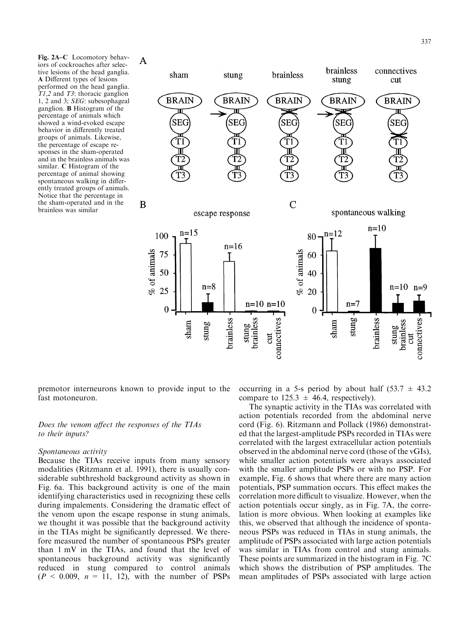Fig. 2A-C Locomotory behaviors of cockroaches after selective lesions of the head ganglia. A Different types of lesions performed on the head ganglia. T1,2 and T3: thoracic ganglion 1, 2 and 3; SEG: subesophageal ganglion. B Histogram of the percentage of animals which showed a wind-evoked escape behavior in differently treated groups of animals. Likewise, the percentage of escape responses in the sham-operated and in the brainless animals was similar. C Histogram of the percentage of animal showing spontaneous walking in differently treated groups of animals. Notice that the percentage in the sham-operated and in the brainless was similar



premotor interneurons known to provide input to the fast motoneuron.

# Does the venom affect the responses of the TIAs to their inputs?

## Spontaneous activity

Because the TIAs receive inputs from many sensory modalities (Ritzmann et al. 1991), there is usually considerable subthreshold background activity as shown in Fig. 6a. This background activity is one of the main identifying characteristics used in recognizing these cells during impalements. Considering the dramatic effect of the venom upon the escape response in stung animals, we thought it was possible that the background activity in the TIAs might be significantly depressed. We therefore measured the number of spontaneous PSPs greater than 1 mV in the TIAs, and found that the level of spontaneous background activity was significantly reduced in stung compared to control animals  $(P < 0.009, n = 11, 12)$ , with the number of PSPs occurring in a 5-s period by about half  $(53.7 \pm 43.2)$ compare to  $125.3 \pm 46.4$ , respectively).

The synaptic activity in the TIAs was correlated with action potentials recorded from the abdominal nerve cord (Fig. 6). Ritzmann and Pollack (1986) demonstrated that the largest-amplitude PSPs recorded in TIAs were correlated with the largest extracellular action potentials observed in the abdominal nerve cord (those of the vGIs), while smaller action potentials were always associated with the smaller amplitude PSPs or with no PSP. For example, Fig. 6 shows that where there are many action potentials, PSP summation occurs. This effect makes the correlation more difficult to visualize. However, when the action potentials occur singly, as in Fig. 7A, the correlation is more obvious. When looking at examples like this, we observed that although the incidence of spontaneous PSPs was reduced in TIAs in stung animals, the amplitude of PSPs associated with large action potentials was similar in TIAs from control and stung animals. These points are summarized in the histogram in Fig. 7C which shows the distribution of PSP amplitudes. The mean amplitudes of PSPs associated with large action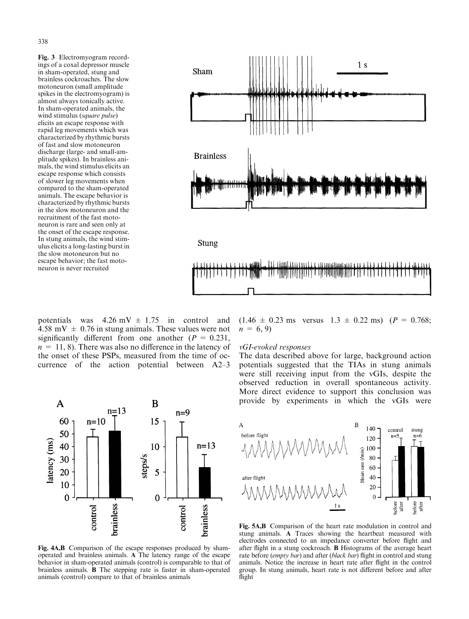Fig. 3 Electromyogram recordings of a coxal depressor muscle in sham-operated, stung and brainless cockroaches. The slow motoneuron (small amplitude spikes in the electromyogram) is almost always tonically active. In sham-operated animals, the wind stimulus (square pulse) elicits an escape response with rapid leg movements which was characterized by rhythmic bursts of fast and slow motoneuron discharge (large- and small-amplitude spikes). In brainless animals, the wind stimulus elicits an escape response which consists of slower leg movements when compared to the sham-operated animals. The escape behavior is characterized by rhythmic bursts in the slow motoneuron and the recruitment of the fast motoneuron is rare and seen only at the onset of the escape response. In stung animals, the wind stimulus elicits a long-lasting burst in the slow motoneuron but no escape behavior; the fast motoneuron is never recruited



potentials was  $4.26 \text{ mV} \pm 1.75 \text{ in control and}$ 4.58 mV  $\pm$  0.76 in stung animals. These values were not significantly different from one another ( $P = 0.231$ ,  $n = 11, 8$ ). There was also no difference in the latency of the onset of these PSPs, measured from the time of occurrence of the action potential between  $A2-3$ 



## vGI-evoked responses

The data described above for large, background action potentials suggested that the TIAs in stung animals were still receiving input from the vGIs, despite the observed reduction in overall spontaneous activity. More direct evidence to support this conclusion was provide by experiments in which the vGIs were



Fig. 4A,B Comparison of the escape responses produced by shamoperated and brainless animals. A The latency range of the escape behavior in sham-operated animals (control) is comparable to that of brainless animals. B The stepping rate is faster in sham-operated animals (control) compare to that of brainless animals



Fig. 5A,B Comparison of the heart rate modulation in control and stung animals. A Traces showing the heartbeat measured with electrodes connected to an impedance converter before flight and after flight in a stung cockroach. **B** Histograms of the average heart rate before (empty bar) and after (black bar) flight in control and stung animals. Notice the increase in heart rate after flight in the control group. In stung animals, heart rate is not different before and after flight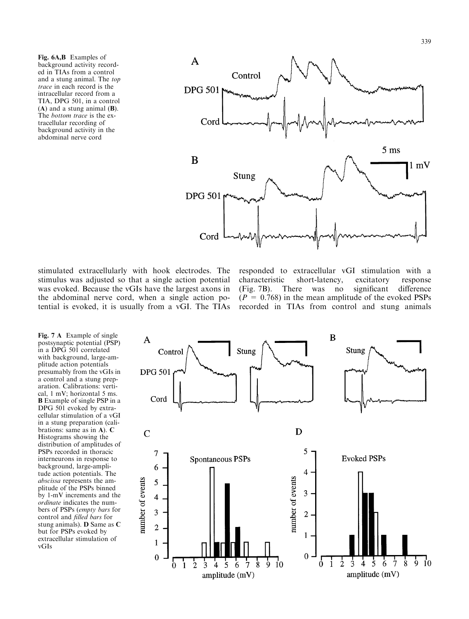Fig. 6A,B Examples of background activity recorded in TIAs from a control and a stung animal. The top trace in each record is the intracellular record from a TIA, DPG 501, in a control (A) and a stung animal (B). The bottom trace is the extracellular recording of background activity in the abdominal nerve cord



stimulated extracellularly with hook electrodes. The stimulus was adjusted so that a single action potential was evoked. Because the vGIs have the largest axons in the abdominal nerve cord, when a single action potential is evoked, it is usually from a vGI. The TIAs

responded to extracellular vGI stimulation with a characteristic short-latency, excitatory response (Fig. 7B). There was no significant difference  $(P = 0.768)$  in the mean amplitude of the evoked PSPs recorded in TIAs from control and stung animals

Fig. 7 A Example of single postsynaptic potential (PSP) in a DPG 501 correlated with background, large-amplitude action potentials presumably from the vGIs in a control and a stung preparation. Calibrations: vertical, 1 mV; horizontal 5 ms. B Example of single PSP in a DPG 501 evoked by extracellular stimulation of a vGI in a stung preparation (calibrations: same as in A). C Histograms showing the distribution of amplitudes of PSPs recorded in thoracic interneurons in response to background, large-amplitude action potentials. The abscissa represents the amplitude of the PSPs binned by 1-mV increments and the ordinate indicates the numbers of PSPs (empty bars for control and filled bars for stung animals). D Same as C but for PSPs evoked by extracellular stimulation of vGIs

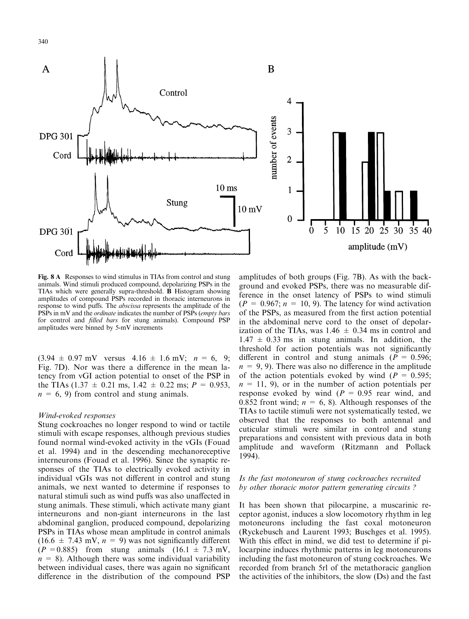

Fig. 8 A Responses to wind stimulus in TIAs from control and stung animals. Wind stimuli produced compound, depolarizing PSPs in the TIAs which were generally supra-threshold. B Histogram showing amplitudes of compound PSPs recorded in thoracic interneurons in response to wind puffs. The *abscissa* represents the amplitude of the PSPs in mV and the *ordinate* indicates the number of PSPs (empty bars for control and *filled bars* for stung animals). Compound PSP amplitudes were binned by 5-mV increments

 $(3.94 \pm 0.97 \text{ mV}$  versus  $4.16 \pm 1.6 \text{ mV}$ ;  $n = 6, 9$ ; Fig. 7D). Nor was there a difference in the mean latency from vGI action potential to onset of the PSP in the TIAs (1.37  $\pm$  0.21 ms, 1.42  $\pm$  0.22 ms; P = 0.953,  $n = 6, 9$ ) from control and stung animals.

## Wind-evoked responses

Stung cockroaches no longer respond to wind or tactile stimuli with escape responses, although previous studies found normal wind-evoked activity in the vGIs (Fouad et al. 1994) and in the descending mechanoreceptive interneurons (Fouad et al. 1996). Since the synaptic responses of the TIAs to electrically evoked activity in individual vGIs was not different in control and stung animals, we next wanted to determine if responses to natural stimuli such as wind puffs was also unaffected in stung animals. These stimuli, which activate many giant interneurons and non-giant interneurons in the last abdominal ganglion, produced compound, depolarizing PSPs in TIAs whose mean amplitude in control animals  $(16.6 \pm 7.43 \text{ mV}, n = 9)$  was not significantly different  $(P = 0.885)$  from stung animals  $(16.1 \pm 7.3 \text{ mV})$ ,  $n = 8$ ). Although there was some individual variability between individual cases, there was again no significant difference in the distribution of the compound PSP

amplitudes of both groups (Fig. 7B). As with the background and evoked PSPs, there was no measurable difference in the onset latency of PSPs to wind stimuli  $(P = 0.967; n = 10, 9)$ . The latency for wind activation of the PSPs, as measured from the first action potential in the abdominal nerve cord to the onset of depolarization of the TIAs, was 1.46  $\pm$  0.34 ms in control and  $1.47 \pm 0.33$  ms in stung animals. In addition, the threshold for action potentials was not significantly different in control and stung animals ( $P = 0.596$ ;  $n = 9, 9$ . There was also no difference in the amplitude of the action potentials evoked by wind ( $P = 0.595$ ;  $n = 11, 9$ , or in the number of action potentials per response evoked by wind  $(P = 0.95$  rear wind, and 0.852 front wind;  $n = 6, 8$ ). Although responses of the TIAs to tactile stimuli were not systematically tested, we observed that the responses to both antennal and cuticular stimuli were similar in control and stung preparations and consistent with previous data in both amplitude and waveform (Ritzmann and Pollack 1994).

# Is the fast motoneuron of stung cockroaches recruited by other thoracic motor pattern generating circuits ?

It has been shown that pilocarpine, a muscarinic receptor agonist, induces a slow locomotory rhythm in leg motoneurons including the fast coxal motoneuron (Ryckebusch and Laurent 1993; Buschges et al. 1995). With this effect in mind, we did test to determine if pilocarpine induces rhythmic patterns in leg motoneurons including the fast motoneuron of stung cockroaches. We recorded from branch 5rl of the metathoracic ganglion the activities of the inhibitors, the slow (Ds) and the fast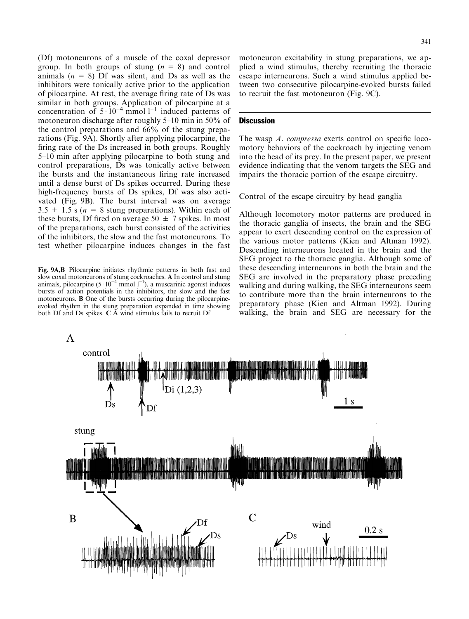(Df) motoneurons of a muscle of the coxal depressor group. In both groups of stung  $(n = 8)$  and control animals  $(n = 8)$  Df was silent, and Ds as well as the inhibitors were tonically active prior to the application of pilocarpine. At rest, the average firing rate of Ds was similar in both groups. Application of pilocarpine at a concentration of  $5 \cdot 10^{-4}$  mmol  $1^{-1}$  induced patterns of motoneuron discharge after roughly  $5-10$  min in  $50\%$  of the control preparations and 66% of the stung preparations (Fig. 9A). Shortly after applying pilocarpine, the firing rate of the Ds increased in both groups. Roughly 5–10 min after applying pilocarpine to both stung and control preparations, Ds was tonically active between the bursts and the instantaneous firing rate increased until a dense burst of Ds spikes occurred. During these high-frequency bursts of Ds spikes, Df was also activated (Fig. 9B). The burst interval was on average  $3.5 \pm 1.5$  s ( $n = 8$  stung preparations). Within each of these bursts, Df fired on average  $50 \pm 7$  spikes. In most of the preparations, each burst consisted of the activities of the inhibitors, the slow and the fast motoneurons. To test whether pilocarpine induces changes in the fast

Fig. 9A,B Pilocarpine initiates rhythmic patterns in both fast and slow coxal motoneurons of stung cockroaches. A In control and stung animals, pilocarpine  $(5 \cdot 10^{-4} \text{ mmol } 1^{-1})$ , a muscarinic agonist induces bursts of action potentials in the inhibitors, the slow and the fast motoneurons. B One of the bursts occurring during the pilocarpineevoked rhythm in the stung preparation expanded in time showing both Df and Ds spikes. C A wind stimulus fails to recruit Df

motoneuron excitability in stung preparations, we applied a wind stimulus, thereby recruiting the thoracic escape interneurons. Such a wind stimulus applied between two consecutive pilocarpine-evoked bursts failed to recruit the fast motoneuron (Fig. 9C).

# **Discussion**

The wasp  $A$ . compressa exerts control on specific locomotory behaviors of the cockroach by injecting venom into the head of its prey. In the present paper, we present evidence indicating that the venom targets the SEG and impairs the thoracic portion of the escape circuitry.

Control of the escape circuitry by head ganglia

Although locomotory motor patterns are produced in the thoracic ganglia of insects, the brain and the SEG appear to exert descending control on the expression of the various motor patterns (Kien and Altman 1992). Descending interneurons located in the brain and the SEG project to the thoracic ganglia. Although some of these descending interneurons in both the brain and the SEG are involved in the preparatory phase preceding walking and during walking, the SEG interneurons seem to contribute more than the brain interneurons to the preparatory phase (Kien and Altman 1992). During walking, the brain and SEG are necessary for the

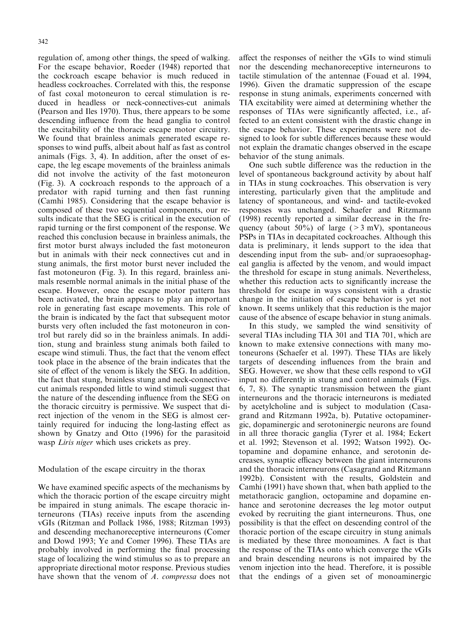regulation of, among other things, the speed of walking. For the escape behavior, Roeder (1948) reported that the cockroach escape behavior is much reduced in headless cockroaches. Correlated with this, the response of fast coxal motoneuron to cercal stimulation is reduced in headless or neck-connectives-cut animals (Pearson and Iles 1970). Thus, there appears to be some descending influence from the head ganglia to control the excitability of the thoracic escape motor circuitry. We found that brainless animals generated escape responses to wind puffs, albeit about half as fast as control animals (Figs. 3, 4). In addition, after the onset of escape, the leg escape movements of the brainless animals did not involve the activity of the fast motoneuron (Fig. 3). A cockroach responds to the approach of a predator with rapid turning and then fast running (Camhi 1985). Considering that the escape behavior is composed of these two sequential components, our results indicate that the SEG is critical in the execution of rapid turning or the first component of the response. We reached this conclusion because in brainless animals, the first motor burst always included the fast motoneuron but in animals with their neck connectives cut and in stung animals, the first motor burst never included the fast motoneuron (Fig. 3). In this regard, brainless animals resemble normal animals in the initial phase of the escape. However, once the escape motor pattern has been activated, the brain appears to play an important role in generating fast escape movements. This role of the brain is indicated by the fact that subsequent motor bursts very often included the fast motoneuron in control but rarely did so in the brainless animals. In addition, stung and brainless stung animals both failed to escape wind stimuli. Thus, the fact that the venom effect took place in the absence of the brain indicates that the site of effect of the venom is likely the SEG. In addition, the fact that stung, brainless stung and neck-connectivecut animals responded little to wind stimuli suggest that the nature of the descending influence from the SEG on the thoracic circuitry is permissive. We suspect that direct injection of the venom in the SEG is almost certainly required for inducing the long-lasting effect as shown by Gnatzy and Otto (1996) for the parasitoid wasp Liris niger which uses crickets as prey.

# Modulation of the escape circuitry in the thorax

We have examined specific aspects of the mechanisms by which the thoracic portion of the escape circuitry might be impaired in stung animals. The escape thoracic interneurons (TIAs) receive inputs from the ascending vGIs (Ritzman and Pollack 1986, 1988; Ritzman 1993) and descending mechanoreceptive interneurons (Comer and Dowd 1993; Ye and Comer 1996). These TIAs are probably involved in performing the final processing stage of localizing the wind stimulus so as to prepare an appropriate directional motor response. Previous studies have shown that the venom of A. compressa does not affect the responses of neither the vGIs to wind stimuli nor the descending mechanoreceptive interneurons to tactile stimulation of the antennae (Fouad et al. 1994, 1996). Given the dramatic suppression of the escape response in stung animals, experiments concerned with TIA excitability were aimed at determining whether the responses of TIAs were significantly affected, i.e., affected to an extent consistent with the drastic change in the escape behavior. These experiments were not designed to look for subtle differences because these would not explain the dramatic changes observed in the escape behavior of the stung animals.

One such subtle difference was the reduction in the level of spontaneous background activity by about half in TIAs in stung cockroaches. This observation is very interesting, particularly given that the amplitude and latency of spontaneous, and wind- and tactile-evoked responses was unchanged. Schaefer and Ritzmann (1998) recently reported a similar decrease in the frequency (about 50%) of large ( $>3$  mV), spontaneous PSPs in TIAs in decapitated cockroaches. Although this data is preliminary, it lends support to the idea that descending input from the sub- and/or supraoesophageal ganglia is affected by the venom, and would impact the threshold for escape in stung animals. Nevertheless, whether this reduction acts to significantly increase the threshold for escape in ways consistent with a drastic change in the initiation of escape behavior is yet not known. It seems unlikely that this reduction is the major cause of the absence of escape behavior in stung animals.

In this study, we sampled the wind sensitivity of several TIAs including TIA 301 and TIA 701, which are known to make extensive connections with many motoneurons (Schaefer et al. 1997). These TIAs are likely targets of descending influences from the brain and SEG. However, we show that these cells respond to vGI input no differently in stung and control animals (Figs. 6, 7, 8). The synaptic transmission between the giant interneurons and the thoracic interneurons is mediated by acetylcholine and is subject to modulation (Casagrand and Ritzmann 1992a, b). Putative octopaminergic, dopaminergic and serotoninergic neurons are found in all three thoracic ganglia (Tyrer et al. 1984; Eckert et al. 1992; Stevenson et al. 1992; Watson 1992). Octopamine and dopamine enhance, and serotonin decreases, synaptic efficacy between the giant interneurons and the thoracic interneurons (Casagrand and Ritzmann 1992b). Consistent with the results, Goldstein and Camhi (1991) have shown that, when bath applied to the metathoracic ganglion, octopamine and dopamine enhance and serotonine decreases the leg motor output evoked by recruiting the giant interneurons. Thus, one possibility is that the effect on descending control of the thoracic portion of the escape circuitry in stung animals is mediated by these three monoamines. A fact is that the response of the TIAs onto which converge the vGIs and brain descending neurons is not impaired by the venom injection into the head. Therefore, it is possible that the endings of a given set of monoaminergic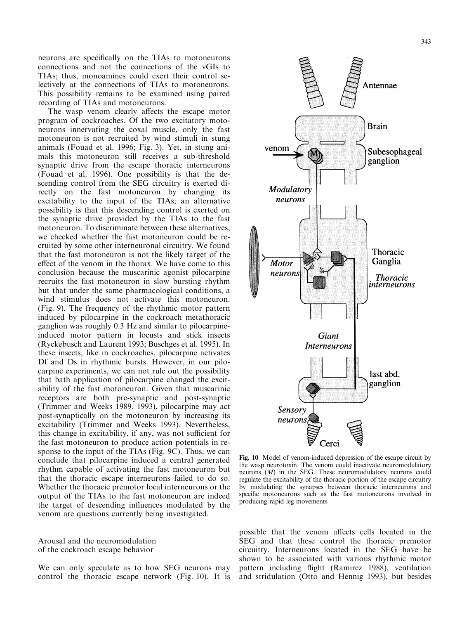neurons are specifically on the TIAs to motoneurons connections and not the connections of the vGIs to TIAs; thus, monoamines could exert their control selectively at the connections of TIAs to motoneurons. This possibility remains to be examined using paired recording of TIAs and motoneurons.

The wasp venom clearly affects the escape motor program of cockroaches. Of the two excitatory motoneurons innervating the coxal muscle, only the fast motoneuron is not recruited by wind stimuli in stung animals (Fouad et al. 1996; Fig. 3). Yet, in stung animals this motoneuron still receives a sub-threshold synaptic drive from the escape thoracic interneurons (Fouad et al. 1996). One possibility is that the descending control from the SEG circuitry is exerted directly on the fast motoneuron by changing its excitability to the input of the TIAs; an alternative possibility is that this descending control is exerted on the synaptic drive provided by the TIAs to the fast motoneuron. To discriminate between these alternatives, we checked whether the fast motoneuron could be recruited by some other interneuronal circuitry. We found that the fast motoneuron is not the likely target of the effect of the venom in the thorax. We have come to this conclusion because the muscarinic agonist pilocarpine recruits the fast motoneuron in slow bursting rhythm but that under the same pharmacological conditions, a wind stimulus does not activate this motoneuron. (Fig. 9). The frequency of the rhythmic motor pattern induced by pilocarpine in the cockroach metathoracic ganglion was roughly 0.3 Hz and similar to pilocarpineinduced motor pattern in locusts and stick insects (Ryckebusch and Laurent 1993; Buschges et al. 1995). In these insects, like in cockroaches, pilocarpine activates Df and Ds in rhythmic bursts. However, in our pilocarpine experiments, we can not rule out the possibility that bath application of pilocarpine changed the excitability of the fast motoneuron. Given that muscarinic receptors are both pre-synaptic and post-synaptic (Trimmer and Weeks 1989, 1993), pilocarpine may act post-synaptically on the motoneuron by increasing its excitability (Trimmer and Weeks 1993). Nevertheless, this change in excitability, if any, was not sufficient for the fast motoneuron to produce action potentials in response to the input of the TIAs (Fig. 9C). Thus, we can conclude that pilocarpine induced a central generated rhythm capable of activating the fast motoneuron but that the thoracic escape interneurons failed to do so. Whether the thoracic premotor local interneurons or the output of the TIAs to the fast motoneuron are indeed the target of descending influences modulated by the venom are questions currently being investigated.

Arousal and the neuromodulation of the cockroach escape behavior

We can only speculate as to how SEG neurons may control the thoracic escape network (Fig. 10). It is



Fig. 10 Model of venom-induced depression of the escape circuit by the wasp neurotoxin. The venom could inactivate neuromodulatory neurons (M) in the SEG. These neuromodulatory neurons could regulate the excitability of the thoracic portion of the escape circuitry by modulating the synapses between thoracic interneurons and specific motoneurons such as the fast motoneurons involved in producing rapid leg movements

possible that the venom affects cells located in the SEG and that these control the thoracic premotor circuitry. Interneurons located in the SEG have be shown to be associated with various rhythmic motor pattern including flight (Ramirez 1988), ventilation and stridulation (Otto and Hennig 1993), but besides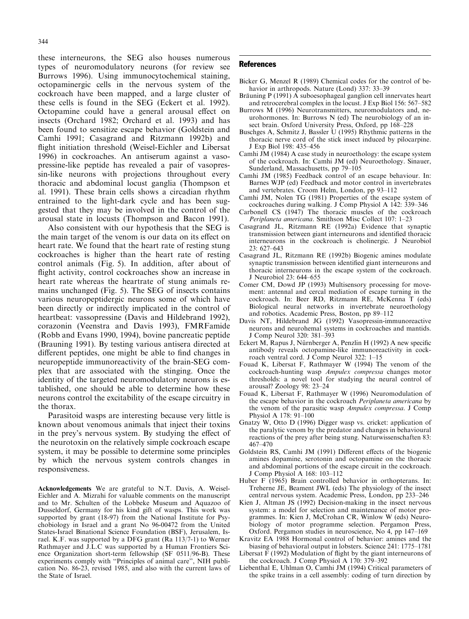344

these interneurons, the SEG also houses numerous types of neuromodulatory neurons (for review see Burrows 1996). Using immunocytochemical staining, octopaminergic cells in the nervous system of the cockroach have been mapped, and a large cluster of these cells is found in the SEG (Eckert et al. 1992). Octopamine could have a general arousal effect on insects (Orchard 1982; Orchard et al. 1993) and has been found to sensitize escape behavior (Goldstein and Camhi 1991; Casagrand and Ritzmann 1992b) and flight initiation threshold (Weisel-Eichler and Libersat 1996) in cockroaches. An antiserum against a vasopressine-like peptide has revealed a pair of vasopressin-like neurons with projections throughout every thoracic and abdominal locust ganglia (Thompson et al. 1991). These brain cells shows a circadian rhythm entrained to the light-dark cycle and has been suggested that they may be involved in the control of the arousal state in locusts (Thompson and Bacon 1991).

Also consistent with our hypothesis that the SEG is the main target of the venom is our data on its effect on heart rate. We found that the heart rate of resting stung cockroaches is higher than the heart rate of resting control animals (Fig. 5). In addition, after about of flight activity, control cockroaches show an increase in heart rate whereas the heartrate of stung animals remains unchanged (Fig. 5). The SEG of insects contains various neuropeptidergic neurons some of which have been directly or indirectly implicated in the control of heartbeat: vassopressine (Davis and Hildebrand 1992), corazonin (Veenstra and Davis 1993), FMRFamide (Robb and Evans 1990, 1994), bovine pancreatic peptide (Brauning 1991). By testing various antisera directed at different peptides, one might be able to find changes in neuropeptide immunoreactivity of the brain-SEG complex that are associated with the stinging. Once the identity of the targeted neuromodulatory neurons is established, one should be able to determine how these neurons control the excitability of the escape circuitry in the thorax.

Parasitoid wasps are interesting because very little is known about venomous animals that inject their toxins in the prey's nervous system. By studying the effect of the neurotoxin on the relatively simple cockroach escape system, it may be possible to determine some principles by which the nervous system controls changes in responsiveness.

Acknowledgements We are grateful to N.T. Davis, A. Weisel-Eichler and A. Mizrahi for valuable comments on the manuscript and to Mr. Schulten of the Lobbeke Museum and Aquazoo of Dusseldorf, Germany for his kind gift of wasps. This work was supported by grant (18-97) from the National Institute for Psychobiology in Israel and a grant No 96-00472 from the United States-Israel Binational Science Foundation (BSF), Jerusalem, Israel. K.F. was supported by a DFG grant (Ra 113/7-1) to Werner Rathmayer and J.L.C was supported by a Human Frontiers Science Organization short-term fellowship (SF 0511/96-B). These experiments comply with "Principles of animal care", NIH publication No. 86-23, revised 1985, and also with the current laws of the State of Israel.

## References

- Bicker G, Menzel R (1989) Chemical codes for the control of behavior in arthropods. Nature (Lond) 337: 33-39
- Bräuning P (1991) A suboesophageal ganglion cell innervates heart and retrocerebral complex in the locust. J Exp Biol  $156:567-582$
- Burrows M (1996) Neurotransmitters, neuromodulators and, neurohormones. In: Burrows N (ed) The neurobiology of an insect brain. Oxford University Press, Oxford, pp 168-228
- Buschges A, Schmitz J, Bassler U (1995) Rhythmic patterns in the thoracic nerve cord of the stick insect induced by pilocarpine. J Exp Biol 198: 435-456
- Camhi JM (1984) A case study in neuroethology: the escape system of the cockroach. In: Camhi JM (ed) Neuroethology. Sinauer, Sunderland, Massachusetts, pp 79-105
- Camhi JM (1985) Feedback control of an escape behaviour. In: Barnes WJP (ed) Feedback and motor control in invertebrates and vertebrates. Croom Helm, London, pp 93-112
- Camhi JM, Nolen TG (1981) Properties of the escape system of cockroaches during walking. J Comp Physiol A 142: 339–346
- Carbonell CS (1947) The thoracic muscles of the cockroach Periplaneta americana. Smithson Misc Collect 107: 1-23
- Casagrand JL, Ritzmann RE (1992a) Evidence that synaptic transmission between giant interneurons and identified thoracic interneurons in the cockroach is cholinergic. J Neurobiol  $23:627-643$
- Casagrand JL, Ritzmann RE (1992b) Biogenic amines modulate synaptic transmission between identified giant interneurons and thoracic interneurons in the escape system of the cockroach. J Neurobiol 23: 644–655
- Comer CM, Dowd JP (1993) Multisensory processing for movement: antennal and cercal mediation of escape turning in the cockroach. In: Beer RD, Ritzmann RE, McKenna T (eds) Biological neural networks in invertebrate neuroethology and robotics. Academic Press, Boston, pp 89-112
- Davis NT, Hildebrand JG (1992) Vasopressin-immunoreactive neurons and neurohemal systems in cockroaches and mantids. J Comp Neurol 320: 381-393
- Eckert M, Rapus J, Nürnberger A, Penzlin H (1992) A new specific antibody reveals octopamine-like immunoreactivity in cockroach ventral cord. J Comp Neurol  $322: 1-15$
- Fouad K, Libersat F, Rathmayer W (1994) The venom of the cockroach-hunting wasp Ampulex compressa changes motor thresholds: a novel tool for studying the neural control of arousal? Zoology 98: 23-24
- Fouad K, Libersat F, Rathmayer W (1996) Neuromodulation of the escape behavior in the cockroach Periplaneta americana by the venom of the parasitic wasp Ampulex compressa. J Comp Physiol A 178: 91-100
- Gnatzy W, Otto D (1996) Digger wasp vs. cricket: application of the paralytic venom by the predator and changes in behavioural reactions of the prey after being stung. Naturwissenschaften 83: 467±470
- Goldstein RS, Camhi JM (1991) Different effects of the biogenic amines dopamine, serotonin and octopamine on the thoracic and abdominal portions of the escape circuit in the cockroach. J Comp Physiol A 168: 103-112
- Huber F (1965) Brain controlled behavior in orthopterans. In: Treherne JE, Beament JWL (eds) The physiology of the insect central nervous system. Academic Press, London, pp 233–246
- Kien J, Altman JS (1992) Decision-making in the insect nervous system: a model for selection and maintenance of motor programmes. In: Kien J, McCrohan CR, Winlow W (eds) Neurobiology of motor programme selection. Pergamon Press, Oxford. Pergamon studies in neuroscience, No 4, pp  $147-169$
- Kravitz EA 1988 Hormonal control of behavior: amines and the biasing of behavioral output in lobsters. Science 241: 1775-1781
- Libersat  $\tilde{F}$  (1992) Modulation of flight by the giant interneurons of the cockroach. J Comp Physiol A 170: 379-392
- Liebenthal E, Uhlman O, Camhi JM (1994) Critical parameters of the spike trains in a cell assembly: coding of turn direction by